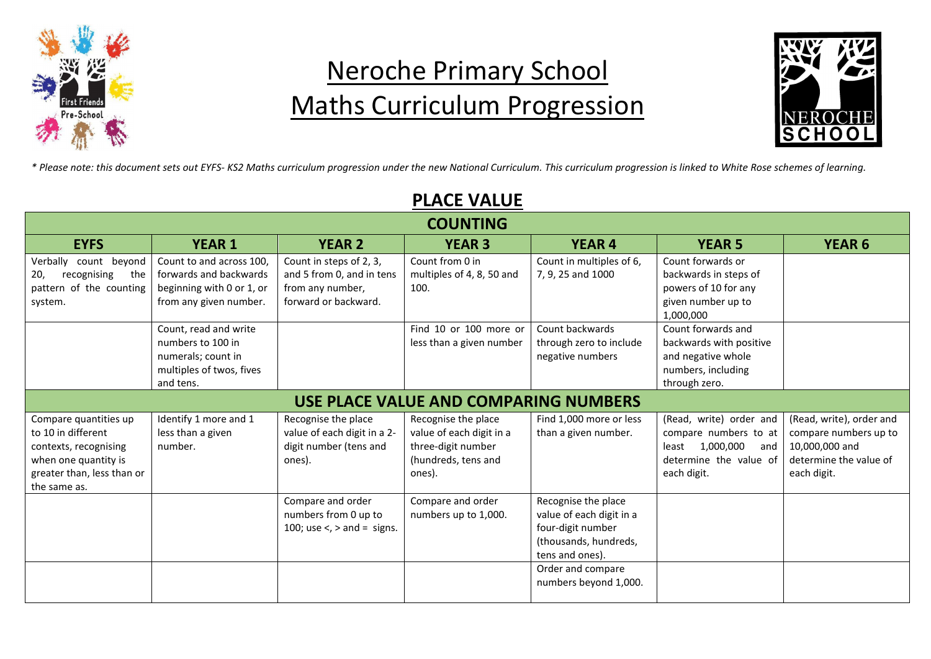

# Neroche Primary School Maths Curriculum Progression



*\* Please note: this document sets out EYFS- KS2 Maths curriculum progression under the new National Curriculum. This curriculum progression is linked to White Rose schemes of learning.*

|                                               |                                                    |                                                      | I LAVL YALVL                                 |                                               |                                            |                          |  |  |
|-----------------------------------------------|----------------------------------------------------|------------------------------------------------------|----------------------------------------------|-----------------------------------------------|--------------------------------------------|--------------------------|--|--|
| <b>COUNTING</b>                               |                                                    |                                                      |                                              |                                               |                                            |                          |  |  |
| <b>EYFS</b>                                   | <b>YEAR 1</b>                                      | <b>YEAR 2</b>                                        | <b>YEAR 3</b>                                | <b>YEAR 4</b>                                 | <b>YEAR 5</b>                              | <b>YEAR 6</b>            |  |  |
| Verbally<br>count beyond<br>the               | Count to and across 100,<br>forwards and backwards | Count in steps of 2, 3,<br>and 5 from 0, and in tens | Count from 0 in<br>multiples of 4, 8, 50 and | Count in multiples of 6,<br>7, 9, 25 and 1000 | Count forwards or<br>backwards in steps of |                          |  |  |
| recognising<br>20,<br>pattern of the counting | beginning with 0 or 1, or                          | from any number,                                     | 100.                                         |                                               | powers of 10 for any                       |                          |  |  |
| system.                                       | from any given number.                             | forward or backward.                                 |                                              |                                               | given number up to<br>1,000,000            |                          |  |  |
|                                               | Count, read and write                              |                                                      | Find 10 or 100 more or                       | Count backwards                               | Count forwards and                         |                          |  |  |
|                                               | numbers to 100 in                                  |                                                      | less than a given number                     | through zero to include                       | backwards with positive                    |                          |  |  |
|                                               | numerals; count in                                 |                                                      |                                              | negative numbers                              | and negative whole                         |                          |  |  |
|                                               | multiples of twos, fives<br>and tens.              |                                                      |                                              |                                               | numbers, including<br>through zero.        |                          |  |  |
|                                               |                                                    |                                                      |                                              |                                               |                                            |                          |  |  |
|                                               |                                                    |                                                      | USE PLACE VALUE AND COMPARING NUMBERS        |                                               |                                            |                          |  |  |
| Compare quantities up                         | Identify 1 more and 1                              | Recognise the place                                  | Recognise the place                          | Find 1,000 more or less                       | (Read, write) order and                    | (Read, write), order and |  |  |
| to 10 in different                            | less than a given                                  | value of each digit in a 2-                          | value of each digit in a                     | than a given number.                          | compare numbers to at                      | compare numbers up to    |  |  |
| contexts, recognising                         | number.                                            | digit number (tens and                               | three-digit number                           |                                               | 1,000,000<br>least<br>and                  | 10,000,000 and           |  |  |
| when one quantity is                          |                                                    | ones).                                               | (hundreds, tens and                          |                                               | determine the value of                     | determine the value of   |  |  |
| greater than, less than or<br>the same as.    |                                                    |                                                      | ones).                                       |                                               | each digit.                                | each digit.              |  |  |
|                                               |                                                    | Compare and order                                    | Compare and order                            | Recognise the place                           |                                            |                          |  |  |
|                                               |                                                    | numbers from 0 up to                                 | numbers up to 1,000.                         | value of each digit in a                      |                                            |                          |  |  |
|                                               |                                                    | 100; use $\lt$ , $>$ and = signs.                    |                                              | four-digit number                             |                                            |                          |  |  |
|                                               |                                                    |                                                      |                                              | (thousands, hundreds,                         |                                            |                          |  |  |
|                                               |                                                    |                                                      |                                              | tens and ones).                               |                                            |                          |  |  |
|                                               |                                                    |                                                      |                                              | Order and compare                             |                                            |                          |  |  |
|                                               |                                                    |                                                      |                                              | numbers beyond 1,000.                         |                                            |                          |  |  |
|                                               |                                                    |                                                      |                                              |                                               |                                            |                          |  |  |

# PLACE VALUE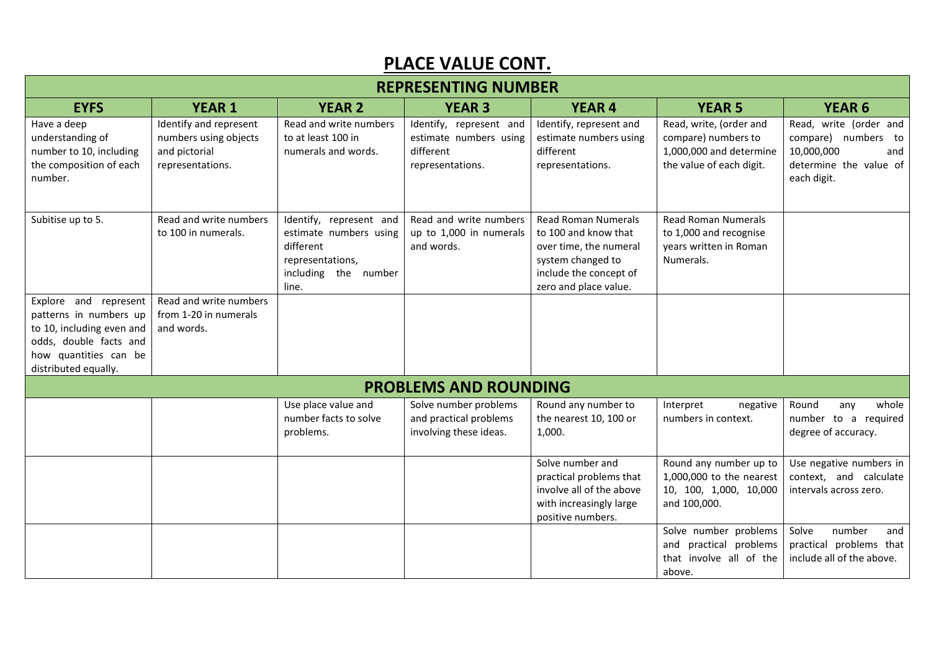#### PLACE VALUE CONT.

| <b>REPRESENTING NUMBER</b>                                                                                                                              |                                                                                      |                                                                                                                     |                                                                                    |                                                                                                                                                      |                                                                                                       |                                                                                                             |  |
|---------------------------------------------------------------------------------------------------------------------------------------------------------|--------------------------------------------------------------------------------------|---------------------------------------------------------------------------------------------------------------------|------------------------------------------------------------------------------------|------------------------------------------------------------------------------------------------------------------------------------------------------|-------------------------------------------------------------------------------------------------------|-------------------------------------------------------------------------------------------------------------|--|
| <b>EYFS</b>                                                                                                                                             | <b>YEAR 1</b>                                                                        | <b>YEAR 2</b>                                                                                                       | <b>YEAR 3</b>                                                                      | <b>YEAR 4</b>                                                                                                                                        | <b>YEAR 5</b>                                                                                         | <b>YEAR 6</b>                                                                                               |  |
| Have a deep<br>understanding of<br>number to 10, including<br>the composition of each<br>number.                                                        | Identify and represent<br>numbers using objects<br>and pictorial<br>representations. | Read and write numbers<br>to at least 100 in<br>numerals and words.                                                 | Identify, represent and<br>estimate numbers using<br>different<br>representations. | Identify, represent and<br>estimate numbers using<br>different<br>representations.                                                                   | Read, write, (order and<br>compare) numbers to<br>1,000,000 and determine<br>the value of each digit. | Read, write (order and<br>compare) numbers to<br>10,000,000<br>and<br>determine the value of<br>each digit. |  |
| Subitise up to 5.                                                                                                                                       | Read and write numbers<br>to 100 in numerals.                                        | Identify, represent and<br>estimate numbers using<br>different<br>representations,<br>including the number<br>line. | Read and write numbers<br>up to 1,000 in numerals<br>and words.                    | <b>Read Roman Numerals</b><br>to 100 and know that<br>over time, the numeral<br>system changed to<br>include the concept of<br>zero and place value. | <b>Read Roman Numerals</b><br>to 1,000 and recognise<br>years written in Roman<br>Numerals.           |                                                                                                             |  |
| Explore and represent<br>patterns in numbers up<br>to 10, including even and<br>odds, double facts and<br>how quantities can be<br>distributed equally. | Read and write numbers<br>from 1-20 in numerals<br>and words.                        |                                                                                                                     |                                                                                    |                                                                                                                                                      |                                                                                                       |                                                                                                             |  |
|                                                                                                                                                         |                                                                                      |                                                                                                                     | <b>PROBLEMS AND ROUNDING</b>                                                       |                                                                                                                                                      |                                                                                                       |                                                                                                             |  |
|                                                                                                                                                         |                                                                                      | Use place value and<br>number facts to solve<br>problems.                                                           | Solve number problems<br>and practical problems<br>involving these ideas.          | Round any number to<br>the nearest 10, 100 or<br>1,000.                                                                                              | Interpret<br>negative<br>numbers in context.                                                          | Round<br>whole<br>any<br>number to a required<br>degree of accuracy.                                        |  |
|                                                                                                                                                         |                                                                                      |                                                                                                                     |                                                                                    | Solve number and<br>practical problems that<br>involve all of the above<br>with increasingly large<br>positive numbers.                              | Round any number up to<br>1,000,000 to the nearest<br>10, 100, 1,000, 10,000<br>and 100,000.          | Use negative numbers in<br>context, and calculate<br>intervals across zero.                                 |  |
|                                                                                                                                                         |                                                                                      |                                                                                                                     |                                                                                    |                                                                                                                                                      | Solve number problems<br>and practical problems<br>that involve all of the<br>above.                  | Solve<br>number<br>and<br>practical problems that<br>include all of the above.                              |  |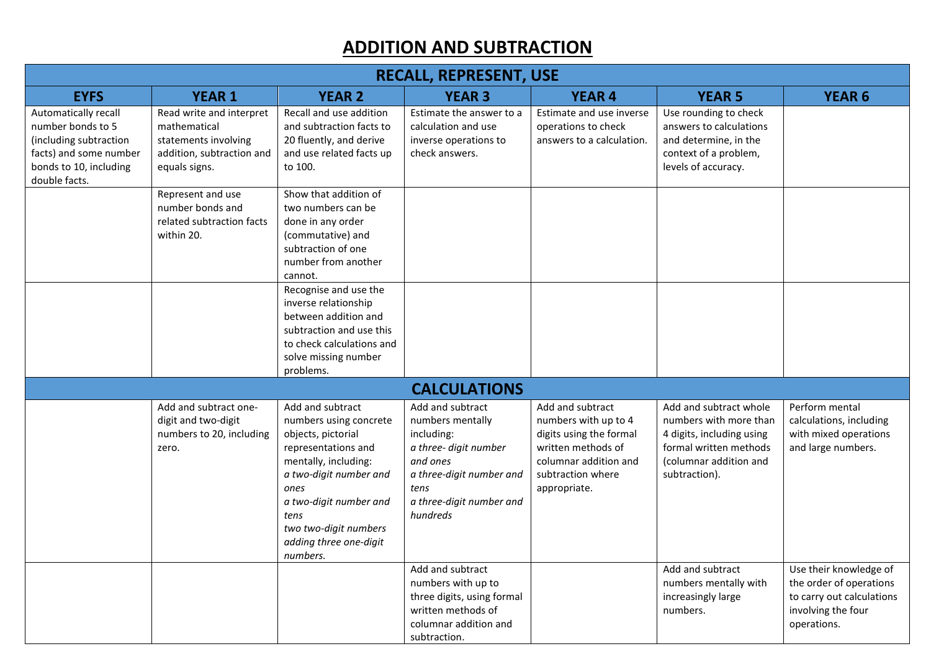## ADDITION AND SUBTRACTION

| <b>RECALL, REPRESENT, USE</b>                                                                                                            |                                                                                                                |                                                                                                                                                                                                                                                    |                                                                                                                                                                    |                                                                                                                                                         |                                                                                                                                                    |                                                                                                                     |  |  |
|------------------------------------------------------------------------------------------------------------------------------------------|----------------------------------------------------------------------------------------------------------------|----------------------------------------------------------------------------------------------------------------------------------------------------------------------------------------------------------------------------------------------------|--------------------------------------------------------------------------------------------------------------------------------------------------------------------|---------------------------------------------------------------------------------------------------------------------------------------------------------|----------------------------------------------------------------------------------------------------------------------------------------------------|---------------------------------------------------------------------------------------------------------------------|--|--|
| <b>EYFS</b>                                                                                                                              | <b>YEAR 1</b>                                                                                                  | <b>YEAR 2</b>                                                                                                                                                                                                                                      | <b>YEAR 3</b>                                                                                                                                                      | <b>YEAR 4</b>                                                                                                                                           | <b>YEAR 5</b>                                                                                                                                      | <b>YEAR 6</b>                                                                                                       |  |  |
| Automatically recall<br>number bonds to 5<br>(including subtraction<br>facts) and some number<br>bonds to 10, including<br>double facts. | Read write and interpret<br>mathematical<br>statements involving<br>addition, subtraction and<br>equals signs. | Recall and use addition<br>and subtraction facts to<br>20 fluently, and derive<br>and use related facts up<br>to 100.                                                                                                                              | Estimate the answer to a<br>calculation and use<br>inverse operations to<br>check answers.                                                                         | Estimate and use inverse<br>operations to check<br>answers to a calculation.                                                                            | Use rounding to check<br>answers to calculations<br>and determine, in the<br>context of a problem,<br>levels of accuracy.                          |                                                                                                                     |  |  |
|                                                                                                                                          | Represent and use<br>number bonds and<br>related subtraction facts<br>within 20.                               | Show that addition of<br>two numbers can be<br>done in any order<br>(commutative) and<br>subtraction of one<br>number from another<br>cannot.<br>Recognise and use the<br>inverse relationship<br>between addition and                             |                                                                                                                                                                    |                                                                                                                                                         |                                                                                                                                                    |                                                                                                                     |  |  |
|                                                                                                                                          |                                                                                                                | subtraction and use this<br>to check calculations and<br>solve missing number<br>problems.                                                                                                                                                         |                                                                                                                                                                    |                                                                                                                                                         |                                                                                                                                                    |                                                                                                                     |  |  |
|                                                                                                                                          |                                                                                                                |                                                                                                                                                                                                                                                    | <b>CALCULATIONS</b>                                                                                                                                                |                                                                                                                                                         |                                                                                                                                                    |                                                                                                                     |  |  |
|                                                                                                                                          | Add and subtract one-<br>digit and two-digit<br>numbers to 20, including<br>zero.                              | Add and subtract<br>numbers using concrete<br>objects, pictorial<br>representations and<br>mentally, including:<br>a two-digit number and<br>ones<br>a two-digit number and<br>tens<br>two two-digit numbers<br>adding three one-digit<br>numbers. | Add and subtract<br>numbers mentally<br>including:<br>a three-digit number<br>and ones<br>a three-digit number and<br>tens<br>a three-digit number and<br>hundreds | Add and subtract<br>numbers with up to 4<br>digits using the formal<br>written methods of<br>columnar addition and<br>subtraction where<br>appropriate. | Add and subtract whole<br>numbers with more than<br>4 digits, including using<br>formal written methods<br>(columnar addition and<br>subtraction). | Perform mental<br>calculations, including<br>with mixed operations<br>and large numbers.                            |  |  |
|                                                                                                                                          |                                                                                                                |                                                                                                                                                                                                                                                    | Add and subtract<br>numbers with up to<br>three digits, using formal<br>written methods of<br>columnar addition and<br>subtraction.                                |                                                                                                                                                         | Add and subtract<br>numbers mentally with<br>increasingly large<br>numbers.                                                                        | Use their knowledge of<br>the order of operations<br>to carry out calculations<br>involving the four<br>operations. |  |  |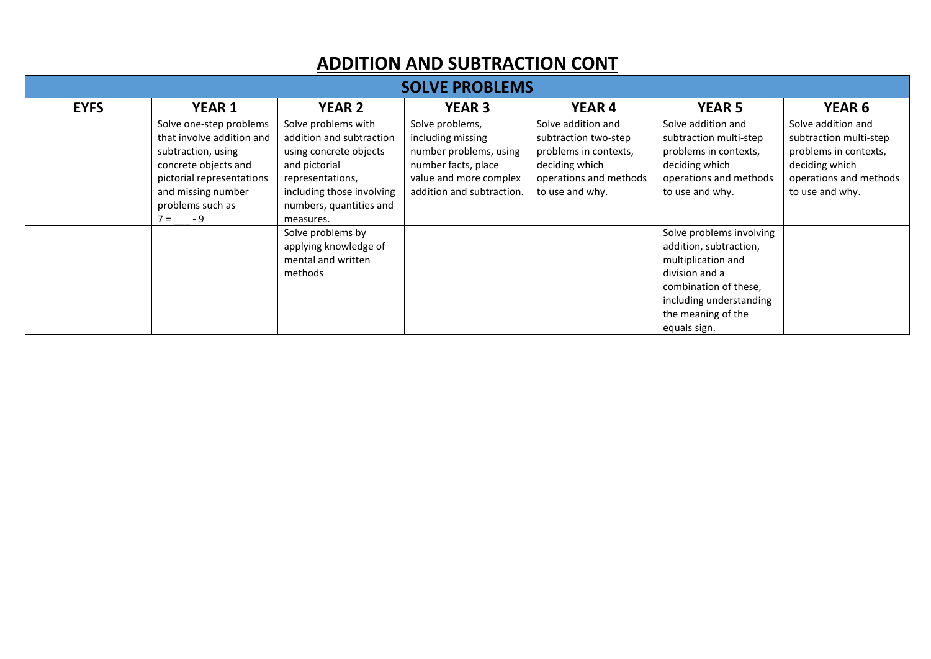#### ADDITION AND SUBTRACTION CONT

| <b>SOLVE PROBLEMS</b> |                                                                                                                                                                                       |                                                                                                                                                                                     |                                                                                                                                              |                                                                                                                                    |                                                                                                                                                                                      |                                                                                                                                      |  |  |
|-----------------------|---------------------------------------------------------------------------------------------------------------------------------------------------------------------------------------|-------------------------------------------------------------------------------------------------------------------------------------------------------------------------------------|----------------------------------------------------------------------------------------------------------------------------------------------|------------------------------------------------------------------------------------------------------------------------------------|--------------------------------------------------------------------------------------------------------------------------------------------------------------------------------------|--------------------------------------------------------------------------------------------------------------------------------------|--|--|
| <b>EYFS</b>           | <b>YEAR 1</b>                                                                                                                                                                         | <b>YEAR 2</b>                                                                                                                                                                       | <b>YEAR 3</b>                                                                                                                                | <b>YEAR 4</b>                                                                                                                      | <b>YEAR 5</b>                                                                                                                                                                        | <b>YEAR 6</b>                                                                                                                        |  |  |
|                       | Solve one-step problems<br>that involve addition and<br>subtraction, using<br>concrete objects and<br>pictorial representations<br>and missing number<br>problems such as<br>$7 = -9$ | Solve problems with<br>addition and subtraction<br>using concrete objects<br>and pictorial<br>representations,<br>including those involving<br>numbers, quantities and<br>measures. | Solve problems,<br>including missing<br>number problems, using<br>number facts, place<br>value and more complex<br>addition and subtraction. | Solve addition and<br>subtraction two-step<br>problems in contexts,<br>deciding which<br>operations and methods<br>to use and why. | Solve addition and<br>subtraction multi-step<br>problems in contexts,<br>deciding which<br>operations and methods<br>to use and why.                                                 | Solve addition and<br>subtraction multi-step<br>problems in contexts,<br>deciding which<br>operations and methods<br>to use and why. |  |  |
|                       |                                                                                                                                                                                       | Solve problems by<br>applying knowledge of<br>mental and written<br>methods                                                                                                         |                                                                                                                                              |                                                                                                                                    | Solve problems involving<br>addition, subtraction,<br>multiplication and<br>division and a<br>combination of these,<br>including understanding<br>the meaning of the<br>equals sign. |                                                                                                                                      |  |  |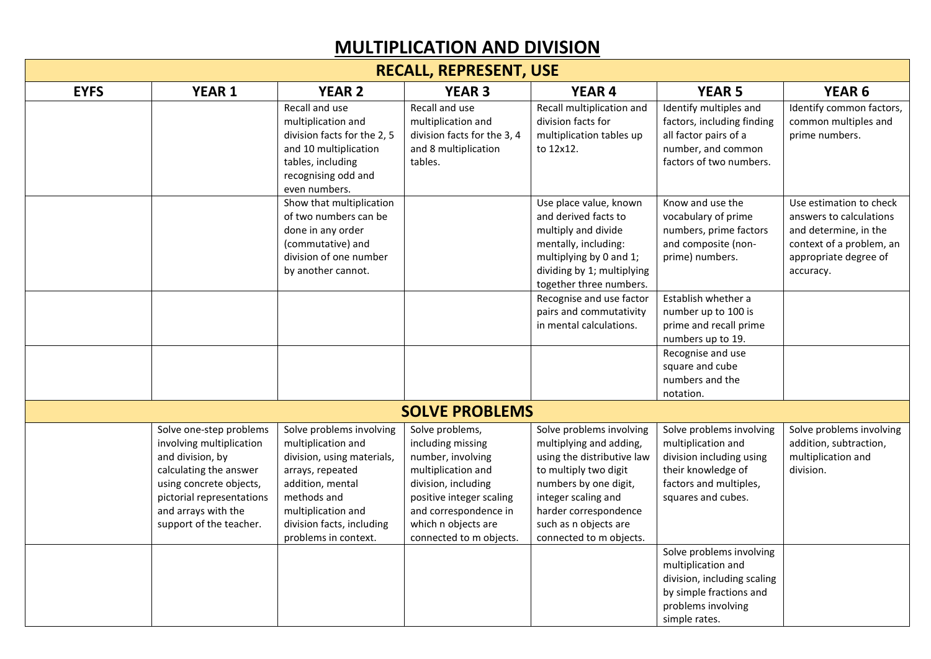## MULTIPLICATION AND DIVISION

| <b>RECALL, REPRESENT, USE</b> |                                                                                                                                                                                                             |                                                                                                                                                                                                                |                                                                                                                                                                                                               |                                                                                                                                                                                                                                         |                                                                                                                                                  |                                                                                                                                               |  |  |
|-------------------------------|-------------------------------------------------------------------------------------------------------------------------------------------------------------------------------------------------------------|----------------------------------------------------------------------------------------------------------------------------------------------------------------------------------------------------------------|---------------------------------------------------------------------------------------------------------------------------------------------------------------------------------------------------------------|-----------------------------------------------------------------------------------------------------------------------------------------------------------------------------------------------------------------------------------------|--------------------------------------------------------------------------------------------------------------------------------------------------|-----------------------------------------------------------------------------------------------------------------------------------------------|--|--|
| <b>EYFS</b>                   | <b>YEAR 1</b>                                                                                                                                                                                               | <b>YEAR 2</b>                                                                                                                                                                                                  | <b>YEAR 3</b>                                                                                                                                                                                                 | <b>YEAR 4</b>                                                                                                                                                                                                                           | <b>YEAR 5</b>                                                                                                                                    | YEAR <sub>6</sub>                                                                                                                             |  |  |
|                               |                                                                                                                                                                                                             | Recall and use<br>multiplication and<br>division facts for the 2, 5<br>and 10 multiplication<br>tables, including<br>recognising odd and<br>even numbers.                                                      | Recall and use<br>multiplication and<br>division facts for the 3, 4<br>and 8 multiplication<br>tables.                                                                                                        | Recall multiplication and<br>division facts for<br>multiplication tables up<br>to 12x12.                                                                                                                                                | Identify multiples and<br>factors, including finding<br>all factor pairs of a<br>number, and common<br>factors of two numbers.                   | Identify common factors,<br>common multiples and<br>prime numbers.                                                                            |  |  |
|                               |                                                                                                                                                                                                             | Show that multiplication<br>of two numbers can be<br>done in any order<br>(commutative) and<br>division of one number<br>by another cannot.                                                                    |                                                                                                                                                                                                               | Use place value, known<br>and derived facts to<br>multiply and divide<br>mentally, including:<br>multiplying by 0 and 1;<br>dividing by 1; multiplying<br>together three numbers.                                                       | Know and use the<br>vocabulary of prime<br>numbers, prime factors<br>and composite (non-<br>prime) numbers.                                      | Use estimation to check<br>answers to calculations<br>and determine, in the<br>context of a problem, an<br>appropriate degree of<br>accuracy. |  |  |
|                               |                                                                                                                                                                                                             |                                                                                                                                                                                                                |                                                                                                                                                                                                               | Recognise and use factor<br>pairs and commutativity<br>in mental calculations.                                                                                                                                                          | Establish whether a<br>number up to 100 is<br>prime and recall prime<br>numbers up to 19.                                                        |                                                                                                                                               |  |  |
|                               |                                                                                                                                                                                                             |                                                                                                                                                                                                                |                                                                                                                                                                                                               |                                                                                                                                                                                                                                         | Recognise and use<br>square and cube<br>numbers and the<br>notation.                                                                             |                                                                                                                                               |  |  |
|                               |                                                                                                                                                                                                             |                                                                                                                                                                                                                | <b>SOLVE PROBLEMS</b>                                                                                                                                                                                         |                                                                                                                                                                                                                                         |                                                                                                                                                  |                                                                                                                                               |  |  |
|                               | Solve one-step problems<br>involving multiplication<br>and division, by<br>calculating the answer<br>using concrete objects,<br>pictorial representations<br>and arrays with the<br>support of the teacher. | Solve problems involving<br>multiplication and<br>division, using materials,<br>arrays, repeated<br>addition, mental<br>methods and<br>multiplication and<br>division facts, including<br>problems in context. | Solve problems,<br>including missing<br>number, involving<br>multiplication and<br>division, including<br>positive integer scaling<br>and correspondence in<br>which n objects are<br>connected to m objects. | Solve problems involving<br>multiplying and adding,<br>using the distributive law<br>to multiply two digit<br>numbers by one digit,<br>integer scaling and<br>harder correspondence<br>such as n objects are<br>connected to m objects. | Solve problems involving<br>multiplication and<br>division including using<br>their knowledge of<br>factors and multiples,<br>squares and cubes. | Solve problems involving<br>addition, subtraction,<br>multiplication and<br>division.                                                         |  |  |
|                               |                                                                                                                                                                                                             |                                                                                                                                                                                                                |                                                                                                                                                                                                               |                                                                                                                                                                                                                                         | Solve problems involving<br>multiplication and<br>division, including scaling<br>by simple fractions and<br>problems involving<br>simple rates.  |                                                                                                                                               |  |  |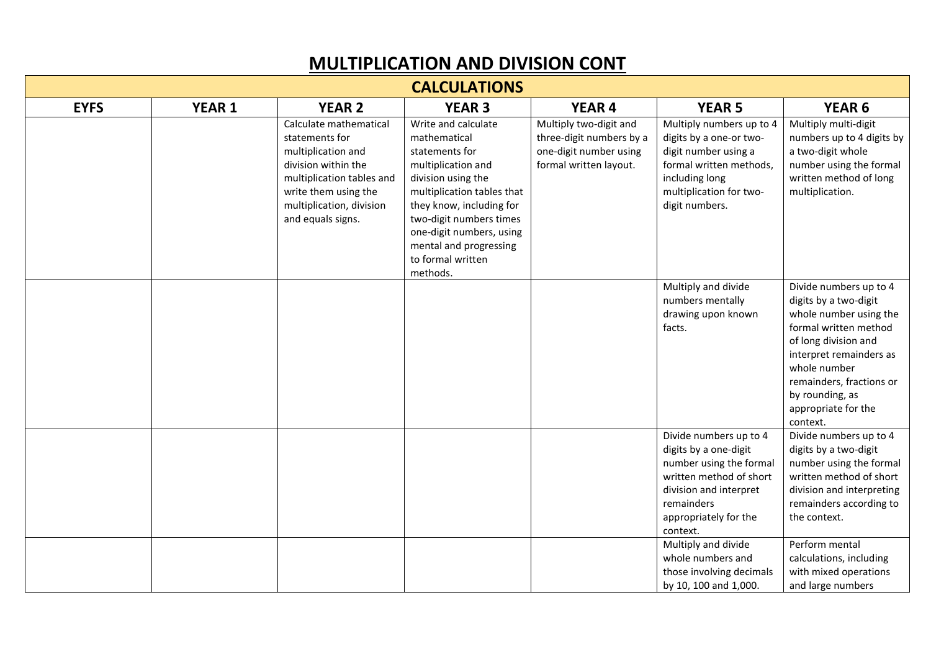#### MULTIPLICATION AND DIVISION CONT

| <b>CALCULATIONS</b> |               |                                                                                                                                                                                             |                                                                                                                                                                                                                                                                               |                                                                                                        |                                                                                                                                                                                    |                                                                                                                                                                                                                                                         |  |  |
|---------------------|---------------|---------------------------------------------------------------------------------------------------------------------------------------------------------------------------------------------|-------------------------------------------------------------------------------------------------------------------------------------------------------------------------------------------------------------------------------------------------------------------------------|--------------------------------------------------------------------------------------------------------|------------------------------------------------------------------------------------------------------------------------------------------------------------------------------------|---------------------------------------------------------------------------------------------------------------------------------------------------------------------------------------------------------------------------------------------------------|--|--|
| <b>EYFS</b>         | <b>YEAR 1</b> | <b>YEAR 2</b>                                                                                                                                                                               | <b>YEAR 3</b>                                                                                                                                                                                                                                                                 | <b>YEAR 4</b>                                                                                          | <b>YEAR 5</b>                                                                                                                                                                      | YEAR <sub>6</sub>                                                                                                                                                                                                                                       |  |  |
|                     |               | Calculate mathematical<br>statements for<br>multiplication and<br>division within the<br>multiplication tables and<br>write them using the<br>multiplication, division<br>and equals signs. | Write and calculate<br>mathematical<br>statements for<br>multiplication and<br>division using the<br>multiplication tables that<br>they know, including for<br>two-digit numbers times<br>one-digit numbers, using<br>mental and progressing<br>to formal written<br>methods. | Multiply two-digit and<br>three-digit numbers by a<br>one-digit number using<br>formal written layout. | Multiply numbers up to 4<br>digits by a one-or two-<br>digit number using a<br>formal written methods,<br>including long<br>multiplication for two-<br>digit numbers.              | Multiply multi-digit<br>numbers up to 4 digits by<br>a two-digit whole<br>number using the formal<br>written method of long<br>multiplication.                                                                                                          |  |  |
|                     |               |                                                                                                                                                                                             |                                                                                                                                                                                                                                                                               |                                                                                                        | Multiply and divide<br>numbers mentally<br>drawing upon known<br>facts.                                                                                                            | Divide numbers up to 4<br>digits by a two-digit<br>whole number using the<br>formal written method<br>of long division and<br>interpret remainders as<br>whole number<br>remainders, fractions or<br>by rounding, as<br>appropriate for the<br>context. |  |  |
|                     |               |                                                                                                                                                                                             |                                                                                                                                                                                                                                                                               |                                                                                                        | Divide numbers up to 4<br>digits by a one-digit<br>number using the formal<br>written method of short<br>division and interpret<br>remainders<br>appropriately for the<br>context. | Divide numbers up to 4<br>digits by a two-digit<br>number using the formal<br>written method of short<br>division and interpreting<br>remainders according to<br>the context.                                                                           |  |  |
|                     |               |                                                                                                                                                                                             |                                                                                                                                                                                                                                                                               |                                                                                                        | Multiply and divide<br>whole numbers and<br>those involving decimals<br>by 10, 100 and 1,000.                                                                                      | Perform mental<br>calculations, including<br>with mixed operations<br>and large numbers                                                                                                                                                                 |  |  |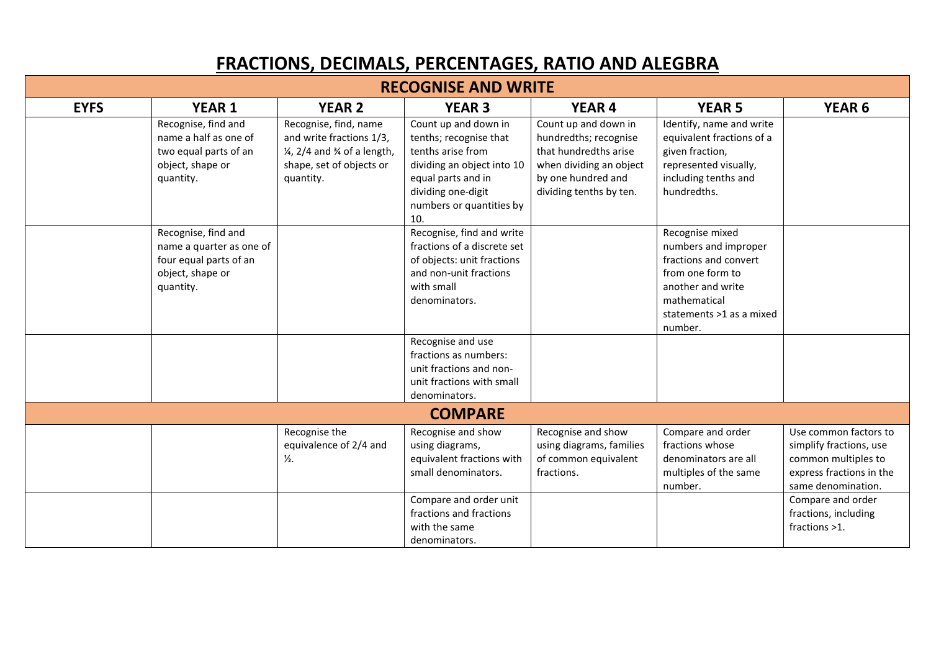## FRACTIONS, DECIMALS, PERCENTAGES, RATIO AND ALEGBRA

| <b>RECOGNISE AND WRITE</b> |                                                                                                            |                                                                                                                                                  |                                                                                                                                                                                  |                                                                                                                                                    |                                                                                                                                                                  |                                                                                                                                                |  |
|----------------------------|------------------------------------------------------------------------------------------------------------|--------------------------------------------------------------------------------------------------------------------------------------------------|----------------------------------------------------------------------------------------------------------------------------------------------------------------------------------|----------------------------------------------------------------------------------------------------------------------------------------------------|------------------------------------------------------------------------------------------------------------------------------------------------------------------|------------------------------------------------------------------------------------------------------------------------------------------------|--|
| <b>EYFS</b>                | <b>YEAR 1</b>                                                                                              | <b>YEAR 2</b>                                                                                                                                    | <b>YEAR 3</b>                                                                                                                                                                    | <b>YEAR 4</b>                                                                                                                                      | <b>YEAR 5</b>                                                                                                                                                    | <b>YEAR 6</b>                                                                                                                                  |  |
|                            | Recognise, find and<br>name a half as one of<br>two equal parts of an<br>object, shape or<br>quantity.     | Recognise, find, name<br>and write fractions 1/3,<br>$\frac{1}{4}$ , 2/4 and $\frac{3}{4}$ of a length,<br>shape, set of objects or<br>quantity. | Count up and down in<br>tenths; recognise that<br>tenths arise from<br>dividing an object into 10<br>equal parts and in<br>dividing one-digit<br>numbers or quantities by<br>10. | Count up and down in<br>hundredths; recognise<br>that hundredths arise<br>when dividing an object<br>by one hundred and<br>dividing tenths by ten. | Identify, name and write<br>equivalent fractions of a<br>given fraction,<br>represented visually,<br>including tenths and<br>hundredths.                         |                                                                                                                                                |  |
|                            | Recognise, find and<br>name a quarter as one of<br>four equal parts of an<br>object, shape or<br>quantity. |                                                                                                                                                  | Recognise, find and write<br>fractions of a discrete set<br>of objects: unit fractions<br>and non-unit fractions<br>with small<br>denominators.                                  |                                                                                                                                                    | Recognise mixed<br>numbers and improper<br>fractions and convert<br>from one form to<br>another and write<br>mathematical<br>statements >1 as a mixed<br>number. |                                                                                                                                                |  |
|                            |                                                                                                            |                                                                                                                                                  | Recognise and use<br>fractions as numbers:<br>unit fractions and non-<br>unit fractions with small<br>denominators.                                                              |                                                                                                                                                    |                                                                                                                                                                  |                                                                                                                                                |  |
|                            |                                                                                                            |                                                                                                                                                  | <b>COMPARE</b>                                                                                                                                                                   |                                                                                                                                                    |                                                                                                                                                                  |                                                                                                                                                |  |
|                            |                                                                                                            | Recognise the<br>equivalence of 2/4 and<br>$\frac{1}{2}$ .                                                                                       | Recognise and show<br>using diagrams,<br>equivalent fractions with<br>small denominators.<br>Compare and order unit                                                              | Recognise and show<br>using diagrams, families<br>of common equivalent<br>fractions.                                                               | Compare and order<br>fractions whose<br>denominators are all<br>multiples of the same<br>number.                                                                 | Use common factors to<br>simplify fractions, use<br>common multiples to<br>express fractions in the<br>same denomination.<br>Compare and order |  |
|                            |                                                                                                            |                                                                                                                                                  | fractions and fractions<br>with the same<br>denominators.                                                                                                                        |                                                                                                                                                    |                                                                                                                                                                  | fractions, including<br>fractions >1.                                                                                                          |  |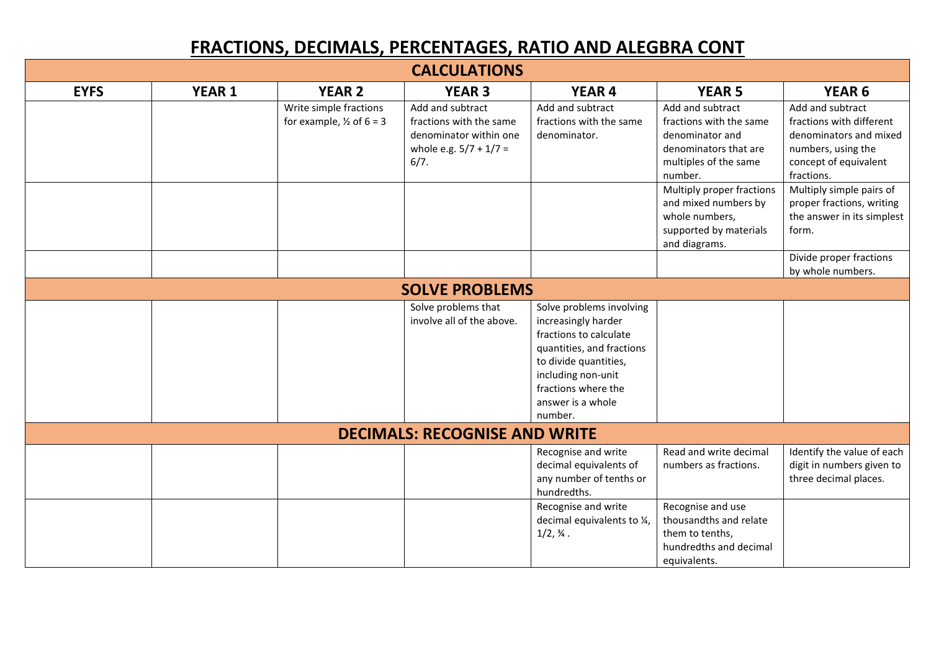## FRACTIONS, DECIMALS, PERCENTAGES, RATIO AND ALEGBRA CONT

| <b>CALCULATIONS</b>   |               |                                                               |                                                                                                           |                                                                                                                                                                                                              |                                                                                                                             |                                                                                                                                     |  |  |
|-----------------------|---------------|---------------------------------------------------------------|-----------------------------------------------------------------------------------------------------------|--------------------------------------------------------------------------------------------------------------------------------------------------------------------------------------------------------------|-----------------------------------------------------------------------------------------------------------------------------|-------------------------------------------------------------------------------------------------------------------------------------|--|--|
| <b>EYFS</b>           | <b>YEAR 1</b> | <b>YEAR 2</b>                                                 | <b>YEAR 3</b>                                                                                             | <b>YEAR 4</b>                                                                                                                                                                                                | <b>YEAR 5</b>                                                                                                               | <b>YEAR 6</b>                                                                                                                       |  |  |
|                       |               | Write simple fractions<br>for example, $\frac{1}{2}$ of 6 = 3 | Add and subtract<br>fractions with the same<br>denominator within one<br>whole e.g. $5/7 + 1/7 =$<br>6/7. | Add and subtract<br>fractions with the same<br>denominator.                                                                                                                                                  | Add and subtract<br>fractions with the same<br>denominator and<br>denominators that are<br>multiples of the same<br>number. | Add and subtract<br>fractions with different<br>denominators and mixed<br>numbers, using the<br>concept of equivalent<br>fractions. |  |  |
|                       |               |                                                               |                                                                                                           |                                                                                                                                                                                                              | Multiply proper fractions<br>and mixed numbers by<br>whole numbers,<br>supported by materials<br>and diagrams.              | Multiply simple pairs of<br>proper fractions, writing<br>the answer in its simplest<br>form.                                        |  |  |
|                       |               |                                                               |                                                                                                           |                                                                                                                                                                                                              |                                                                                                                             | Divide proper fractions<br>by whole numbers.                                                                                        |  |  |
| <b>SOLVE PROBLEMS</b> |               |                                                               |                                                                                                           |                                                                                                                                                                                                              |                                                                                                                             |                                                                                                                                     |  |  |
|                       |               |                                                               | Solve problems that<br>involve all of the above.                                                          | Solve problems involving<br>increasingly harder<br>fractions to calculate<br>quantities, and fractions<br>to divide quantities,<br>including non-unit<br>fractions where the<br>answer is a whole<br>number. |                                                                                                                             |                                                                                                                                     |  |  |
|                       |               |                                                               | <b>DECIMALS: RECOGNISE AND WRITE</b>                                                                      |                                                                                                                                                                                                              |                                                                                                                             |                                                                                                                                     |  |  |
|                       |               |                                                               |                                                                                                           | Recognise and write<br>decimal equivalents of<br>any number of tenths or<br>hundredths.                                                                                                                      | Read and write decimal<br>numbers as fractions.                                                                             | Identify the value of each<br>digit in numbers given to<br>three decimal places.                                                    |  |  |
|                       |               |                                                               |                                                                                                           | Recognise and write<br>decimal equivalents to 1/4,<br>$1/2, \%$ .                                                                                                                                            | Recognise and use<br>thousandths and relate<br>them to tenths,<br>hundredths and decimal<br>equivalents.                    |                                                                                                                                     |  |  |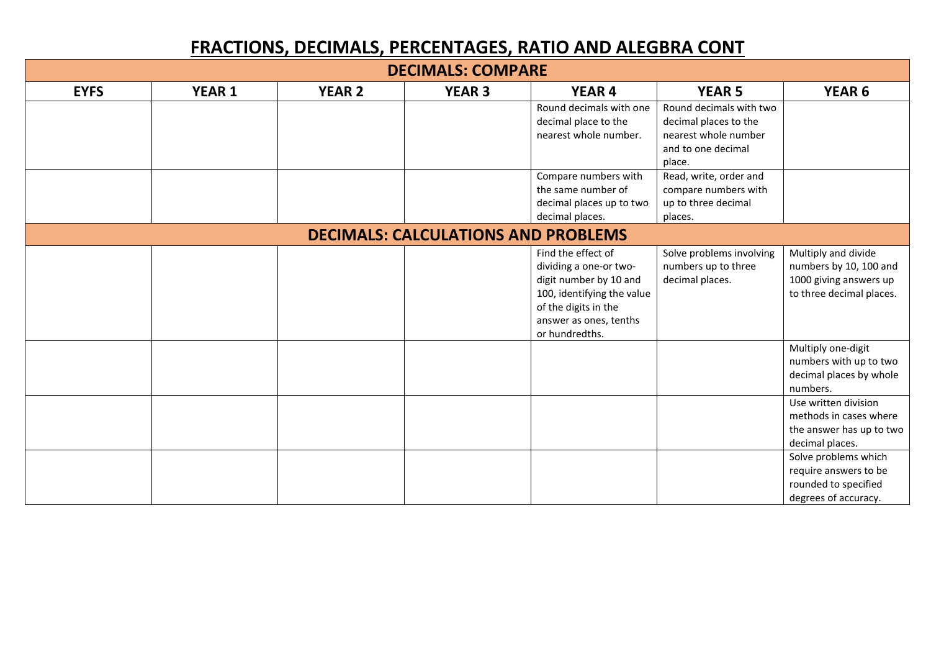## FRACTIONS, DECIMALS, PERCENTAGES, RATIO AND ALEGBRA CONT

| <b>DECIMALS: COMPARE</b>                   |               |               |               |                            |                          |                          |  |
|--------------------------------------------|---------------|---------------|---------------|----------------------------|--------------------------|--------------------------|--|
| <b>EYFS</b>                                | <b>YEAR 1</b> | <b>YEAR 2</b> | <b>YEAR 3</b> | <b>YEAR 4</b>              | <b>YEAR 5</b>            | YEAR <sub>6</sub>        |  |
|                                            |               |               |               | Round decimals with one    | Round decimals with two  |                          |  |
|                                            |               |               |               | decimal place to the       | decimal places to the    |                          |  |
|                                            |               |               |               | nearest whole number.      | nearest whole number     |                          |  |
|                                            |               |               |               |                            | and to one decimal       |                          |  |
|                                            |               |               |               |                            | place.                   |                          |  |
|                                            |               |               |               | Compare numbers with       | Read, write, order and   |                          |  |
|                                            |               |               |               | the same number of         | compare numbers with     |                          |  |
|                                            |               |               |               | decimal places up to two   | up to three decimal      |                          |  |
|                                            |               |               |               | decimal places.            | places.                  |                          |  |
| <b>DECIMALS: CALCULATIONS AND PROBLEMS</b> |               |               |               |                            |                          |                          |  |
|                                            |               |               |               | Find the effect of         | Solve problems involving | Multiply and divide      |  |
|                                            |               |               |               | dividing a one-or two-     | numbers up to three      | numbers by 10, 100 and   |  |
|                                            |               |               |               | digit number by 10 and     | decimal places.          | 1000 giving answers up   |  |
|                                            |               |               |               | 100, identifying the value |                          | to three decimal places. |  |
|                                            |               |               |               | of the digits in the       |                          |                          |  |
|                                            |               |               |               | answer as ones, tenths     |                          |                          |  |
|                                            |               |               |               | or hundredths.             |                          |                          |  |
|                                            |               |               |               |                            |                          | Multiply one-digit       |  |
|                                            |               |               |               |                            |                          | numbers with up to two   |  |
|                                            |               |               |               |                            |                          | decimal places by whole  |  |
|                                            |               |               |               |                            |                          | numbers.                 |  |
|                                            |               |               |               |                            |                          | Use written division     |  |
|                                            |               |               |               |                            |                          | methods in cases where   |  |
|                                            |               |               |               |                            |                          | the answer has up to two |  |
|                                            |               |               |               |                            |                          | decimal places.          |  |
|                                            |               |               |               |                            |                          | Solve problems which     |  |
|                                            |               |               |               |                            |                          | require answers to be    |  |
|                                            |               |               |               |                            |                          | rounded to specified     |  |
|                                            |               |               |               |                            |                          | degrees of accuracy.     |  |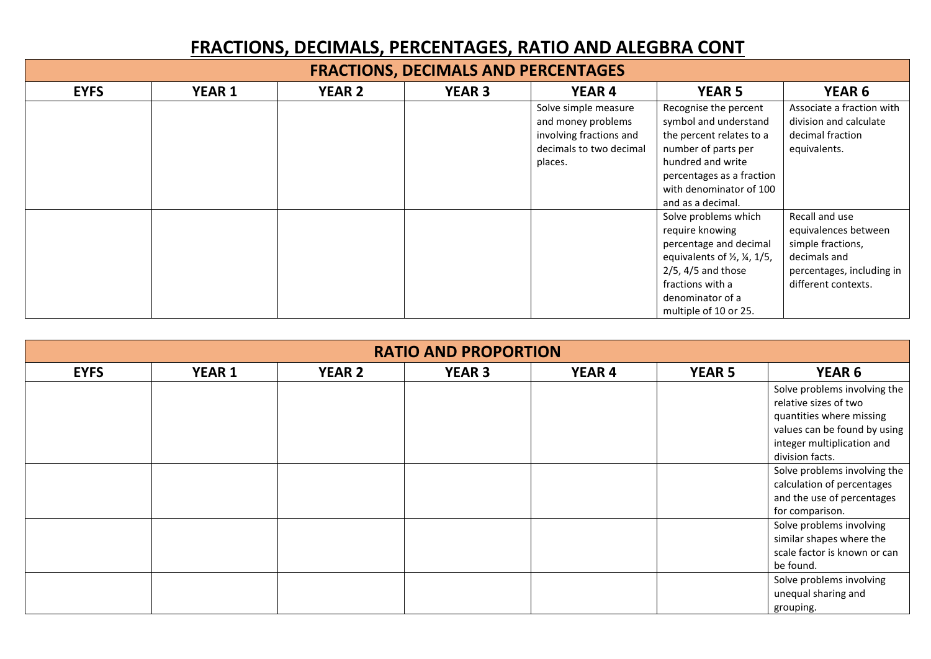## FRACTIONS, DECIMALS, PERCENTAGES, RATIO AND ALEGBRA CONT

| <b>FRACTIONS, DECIMALS AND PERCENTAGES</b> |               |               |               |                                                                                                             |                                                                                                                                                                                                               |                                                                                                                                 |  |  |
|--------------------------------------------|---------------|---------------|---------------|-------------------------------------------------------------------------------------------------------------|---------------------------------------------------------------------------------------------------------------------------------------------------------------------------------------------------------------|---------------------------------------------------------------------------------------------------------------------------------|--|--|
| <b>EYFS</b>                                | <b>YEAR 1</b> | <b>YEAR 2</b> | <b>YEAR 3</b> | <b>YEAR 4</b>                                                                                               | <b>YEAR 5</b>                                                                                                                                                                                                 | YEAR <sub>6</sub>                                                                                                               |  |  |
|                                            |               |               |               | Solve simple measure<br>and money problems<br>involving fractions and<br>decimals to two decimal<br>places. | Recognise the percent<br>symbol and understand<br>the percent relates to a<br>number of parts per<br>hundred and write<br>percentages as a fraction<br>with denominator of 100<br>and as a decimal.           | Associate a fraction with<br>division and calculate<br>decimal fraction<br>equivalents.                                         |  |  |
|                                            |               |               |               |                                                                                                             | Solve problems which<br>require knowing<br>percentage and decimal<br>equivalents of $\frac{1}{2}$ , $\frac{1}{5}$ ,<br>$2/5$ , 4/5 and those<br>fractions with a<br>denominator of a<br>multiple of 10 or 25. | Recall and use<br>equivalences between<br>simple fractions,<br>decimals and<br>percentages, including in<br>different contexts. |  |  |

| <b>RATIO AND PROPORTION</b> |               |               |               |               |               |                              |  |  |
|-----------------------------|---------------|---------------|---------------|---------------|---------------|------------------------------|--|--|
| <b>EYFS</b>                 | <b>YEAR 1</b> | <b>YEAR 2</b> | <b>YEAR 3</b> | <b>YEAR 4</b> | <b>YEAR 5</b> | <b>YEAR 6</b>                |  |  |
|                             |               |               |               |               |               | Solve problems involving the |  |  |
|                             |               |               |               |               |               | relative sizes of two        |  |  |
|                             |               |               |               |               |               | quantities where missing     |  |  |
|                             |               |               |               |               |               | values can be found by using |  |  |
|                             |               |               |               |               |               | integer multiplication and   |  |  |
|                             |               |               |               |               |               | division facts.              |  |  |
|                             |               |               |               |               |               | Solve problems involving the |  |  |
|                             |               |               |               |               |               | calculation of percentages   |  |  |
|                             |               |               |               |               |               | and the use of percentages   |  |  |
|                             |               |               |               |               |               | for comparison.              |  |  |
|                             |               |               |               |               |               | Solve problems involving     |  |  |
|                             |               |               |               |               |               | similar shapes where the     |  |  |
|                             |               |               |               |               |               | scale factor is known or can |  |  |
|                             |               |               |               |               |               | be found.                    |  |  |
|                             |               |               |               |               |               | Solve problems involving     |  |  |
|                             |               |               |               |               |               | unequal sharing and          |  |  |
|                             |               |               |               |               |               | grouping.                    |  |  |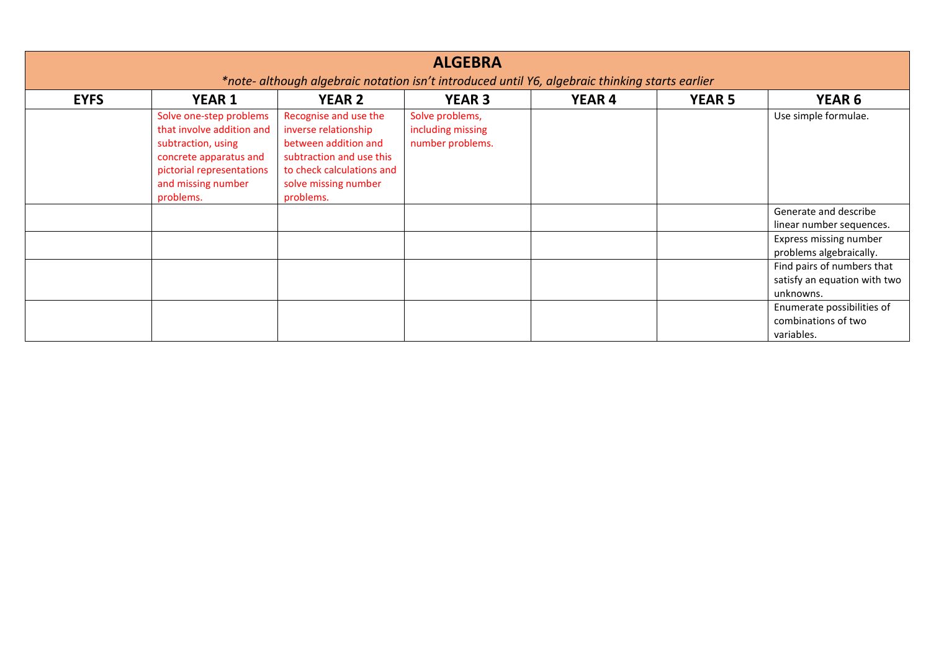|             | <b>ALGEBRA</b><br>*note- although algebraic notation isn't introduced until Y6, algebraic thinking starts earlier                                                    |                                                                                                                                                                     |                                                          |               |               |                                                                         |  |  |  |
|-------------|----------------------------------------------------------------------------------------------------------------------------------------------------------------------|---------------------------------------------------------------------------------------------------------------------------------------------------------------------|----------------------------------------------------------|---------------|---------------|-------------------------------------------------------------------------|--|--|--|
| <b>EYFS</b> | <b>YEAR 1</b>                                                                                                                                                        | <b>YEAR 2</b>                                                                                                                                                       | <b>YEAR 3</b>                                            | <b>YEAR 4</b> | <b>YEAR 5</b> | <b>YEAR 6</b>                                                           |  |  |  |
|             | Solve one-step problems<br>that involve addition and<br>subtraction, using<br>concrete apparatus and<br>pictorial representations<br>and missing number<br>problems. | Recognise and use the<br>inverse relationship<br>between addition and<br>subtraction and use this<br>to check calculations and<br>solve missing number<br>problems. | Solve problems,<br>including missing<br>number problems. |               |               | Use simple formulae.                                                    |  |  |  |
|             |                                                                                                                                                                      |                                                                                                                                                                     |                                                          |               |               | Generate and describe<br>linear number sequences.                       |  |  |  |
|             |                                                                                                                                                                      |                                                                                                                                                                     |                                                          |               |               | Express missing number<br>problems algebraically.                       |  |  |  |
|             |                                                                                                                                                                      |                                                                                                                                                                     |                                                          |               |               | Find pairs of numbers that<br>satisfy an equation with two<br>unknowns. |  |  |  |
|             |                                                                                                                                                                      |                                                                                                                                                                     |                                                          |               |               | Enumerate possibilities of<br>combinations of two<br>variables.         |  |  |  |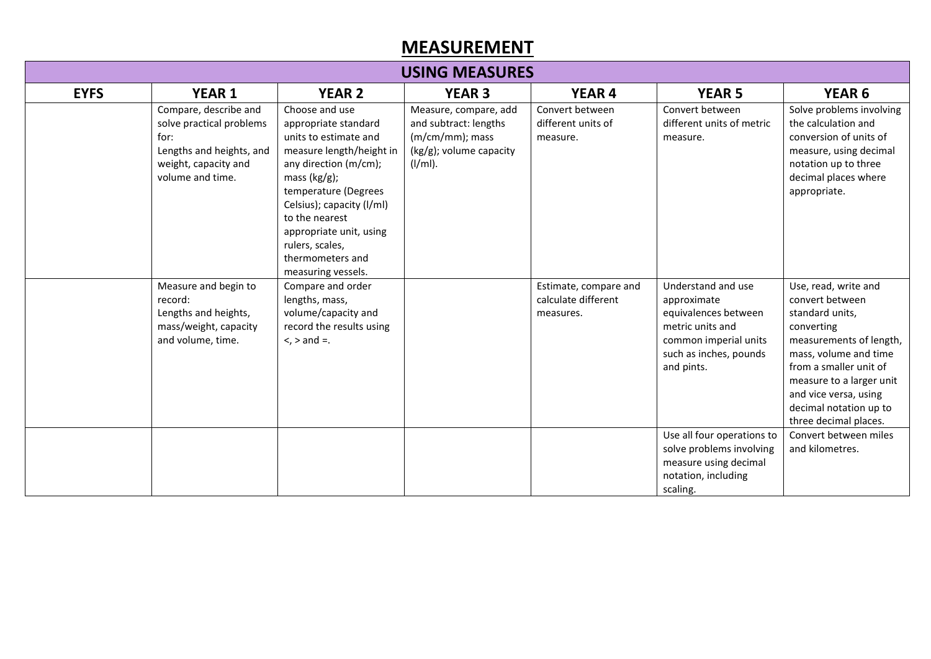## MEASUREMENT

| <b>USING MEASURES</b> |                                                                                                                                   |                                                                                                                                                                                                                                                                                                        |                                                                                                               |                                                           |                                                                                                                                                |                                                                                                                                                                                                                                                                |  |
|-----------------------|-----------------------------------------------------------------------------------------------------------------------------------|--------------------------------------------------------------------------------------------------------------------------------------------------------------------------------------------------------------------------------------------------------------------------------------------------------|---------------------------------------------------------------------------------------------------------------|-----------------------------------------------------------|------------------------------------------------------------------------------------------------------------------------------------------------|----------------------------------------------------------------------------------------------------------------------------------------------------------------------------------------------------------------------------------------------------------------|--|
| <b>EYFS</b>           | <b>YEAR 1</b>                                                                                                                     | <b>YEAR 2</b>                                                                                                                                                                                                                                                                                          | <b>YEAR 3</b>                                                                                                 | <b>YEAR 4</b>                                             | <b>YEAR 5</b>                                                                                                                                  | <b>YEAR 6</b>                                                                                                                                                                                                                                                  |  |
|                       | Compare, describe and<br>solve practical problems<br>for:<br>Lengths and heights, and<br>weight, capacity and<br>volume and time. | Choose and use<br>appropriate standard<br>units to estimate and<br>measure length/height in<br>any direction (m/cm);<br>mass $(kg/g)$ ;<br>temperature (Degrees<br>Celsius); capacity (I/ml)<br>to the nearest<br>appropriate unit, using<br>rulers, scales,<br>thermometers and<br>measuring vessels. | Measure, compare, add<br>and subtract: lengths<br>(m/cm/mm); mass<br>$(kg/g)$ ; volume capacity<br>$(I/ml)$ . | Convert between<br>different units of<br>measure.         | Convert between<br>different units of metric<br>measure.                                                                                       | Solve problems involving<br>the calculation and<br>conversion of units of<br>measure, using decimal<br>notation up to three<br>decimal places where<br>appropriate.                                                                                            |  |
|                       | Measure and begin to<br>record:<br>Lengths and heights,<br>mass/weight, capacity<br>and volume, time.                             | Compare and order<br>lengths, mass,<br>volume/capacity and<br>record the results using<br>$\le$ , $>$ and $=$ .                                                                                                                                                                                        |                                                                                                               | Estimate, compare and<br>calculate different<br>measures. | Understand and use<br>approximate<br>equivalences between<br>metric units and<br>common imperial units<br>such as inches, pounds<br>and pints. | Use, read, write and<br>convert between<br>standard units,<br>converting<br>measurements of length,<br>mass, volume and time<br>from a smaller unit of<br>measure to a larger unit<br>and vice versa, using<br>decimal notation up to<br>three decimal places. |  |
|                       |                                                                                                                                   |                                                                                                                                                                                                                                                                                                        |                                                                                                               |                                                           | Use all four operations to<br>solve problems involving<br>measure using decimal<br>notation, including<br>scaling.                             | Convert between miles<br>and kilometres.                                                                                                                                                                                                                       |  |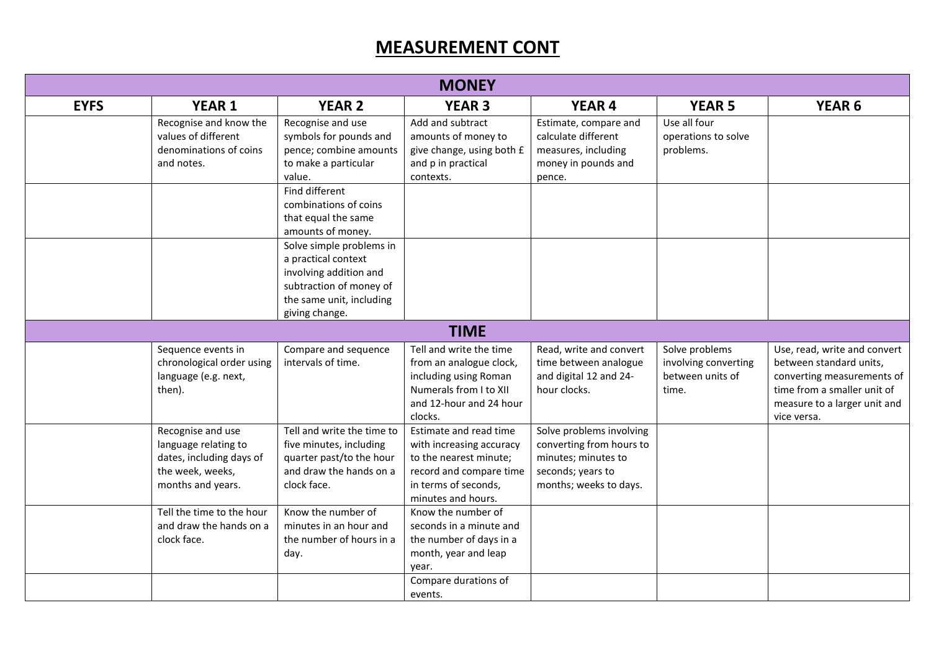## MEASUREMENT CONT

|             | <b>MONEY</b>                                                                                                   |                                                                                                                                                    |                                                                                                                                                       |                                                                                                                            |                                                                     |                                                                                                                                                                     |  |
|-------------|----------------------------------------------------------------------------------------------------------------|----------------------------------------------------------------------------------------------------------------------------------------------------|-------------------------------------------------------------------------------------------------------------------------------------------------------|----------------------------------------------------------------------------------------------------------------------------|---------------------------------------------------------------------|---------------------------------------------------------------------------------------------------------------------------------------------------------------------|--|
| <b>EYFS</b> | <b>YEAR 1</b>                                                                                                  | <b>YEAR 2</b>                                                                                                                                      | <b>YEAR 3</b>                                                                                                                                         | <b>YEAR 4</b>                                                                                                              | <b>YEAR 5</b>                                                       | <b>YEAR 6</b>                                                                                                                                                       |  |
|             | Recognise and know the<br>values of different<br>denominations of coins<br>and notes.                          | Recognise and use<br>symbols for pounds and<br>pence; combine amounts<br>to make a particular<br>value.<br>Find different                          | Add and subtract<br>amounts of money to<br>give change, using both £<br>and p in practical<br>contexts.                                               | Estimate, compare and<br>calculate different<br>measures, including<br>money in pounds and<br>pence.                       | Use all four<br>operations to solve<br>problems.                    |                                                                                                                                                                     |  |
|             |                                                                                                                | combinations of coins<br>that equal the same<br>amounts of money.                                                                                  |                                                                                                                                                       |                                                                                                                            |                                                                     |                                                                                                                                                                     |  |
|             |                                                                                                                | Solve simple problems in<br>a practical context<br>involving addition and<br>subtraction of money of<br>the same unit, including<br>giving change. |                                                                                                                                                       |                                                                                                                            |                                                                     |                                                                                                                                                                     |  |
|             |                                                                                                                |                                                                                                                                                    | <b>TIME</b>                                                                                                                                           |                                                                                                                            |                                                                     |                                                                                                                                                                     |  |
|             | Sequence events in<br>chronological order using<br>language (e.g. next,<br>then).                              | Compare and sequence<br>intervals of time.                                                                                                         | Tell and write the time<br>from an analogue clock,<br>including using Roman<br>Numerals from I to XII<br>and 12-hour and 24 hour<br>clocks.           | Read, write and convert<br>time between analogue<br>and digital 12 and 24-<br>hour clocks.                                 | Solve problems<br>involving converting<br>between units of<br>time. | Use, read, write and convert<br>between standard units,<br>converting measurements of<br>time from a smaller unit of<br>measure to a larger unit and<br>vice versa. |  |
|             | Recognise and use<br>language relating to<br>dates, including days of<br>the week, weeks,<br>months and years. | Tell and write the time to<br>five minutes, including<br>quarter past/to the hour<br>and draw the hands on a<br>clock face.                        | Estimate and read time<br>with increasing accuracy<br>to the nearest minute;<br>record and compare time<br>in terms of seconds,<br>minutes and hours. | Solve problems involving<br>converting from hours to<br>minutes; minutes to<br>seconds; years to<br>months; weeks to days. |                                                                     |                                                                                                                                                                     |  |
|             | Tell the time to the hour<br>and draw the hands on a<br>clock face.                                            | Know the number of<br>minutes in an hour and<br>the number of hours in a<br>day.                                                                   | Know the number of<br>seconds in a minute and<br>the number of days in a<br>month, year and leap<br>year.<br>Compare durations of                     |                                                                                                                            |                                                                     |                                                                                                                                                                     |  |
|             |                                                                                                                |                                                                                                                                                    | events.                                                                                                                                               |                                                                                                                            |                                                                     |                                                                                                                                                                     |  |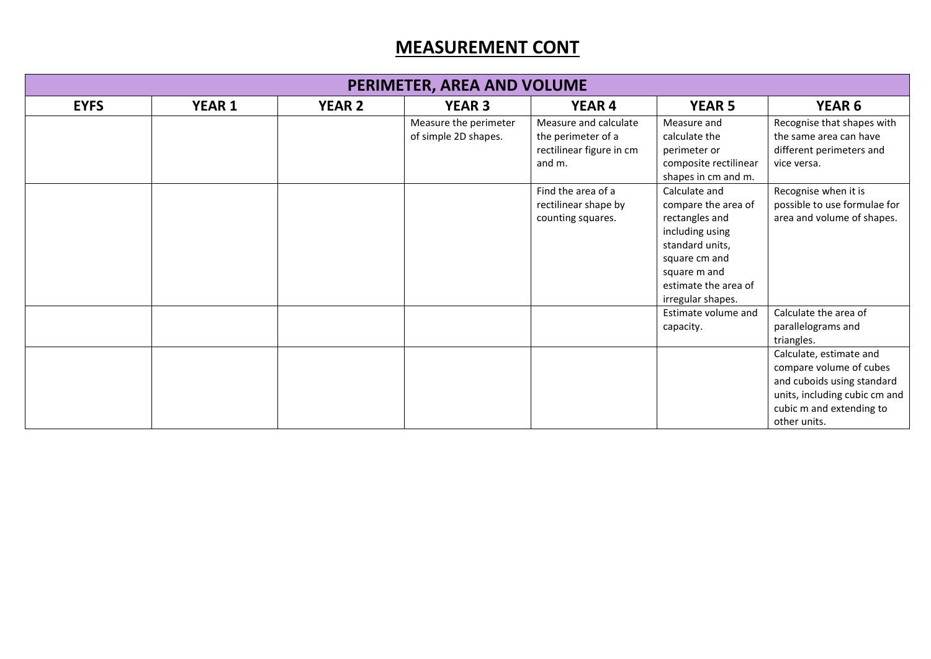## MEASUREMENT CONT

| PERIMETER, AREA AND VOLUME |               |               |                                               |                                                                                   |                                                                                                                                                                            |                                                                                                                                                               |  |
|----------------------------|---------------|---------------|-----------------------------------------------|-----------------------------------------------------------------------------------|----------------------------------------------------------------------------------------------------------------------------------------------------------------------------|---------------------------------------------------------------------------------------------------------------------------------------------------------------|--|
| <b>EYFS</b>                | <b>YEAR 1</b> | <b>YEAR 2</b> | <b>YEAR 3</b>                                 | <b>YEAR 4</b>                                                                     | <b>YEAR 5</b>                                                                                                                                                              | <b>YEAR 6</b>                                                                                                                                                 |  |
|                            |               |               | Measure the perimeter<br>of simple 2D shapes. | Measure and calculate<br>the perimeter of a<br>rectilinear figure in cm<br>and m. | Measure and<br>calculate the<br>perimeter or<br>composite rectilinear<br>shapes in cm and m.                                                                               | Recognise that shapes with<br>the same area can have<br>different perimeters and<br>vice versa.                                                               |  |
|                            |               |               |                                               | Find the area of a<br>rectilinear shape by<br>counting squares.                   | Calculate and<br>compare the area of<br>rectangles and<br>including using<br>standard units,<br>square cm and<br>square m and<br>estimate the area of<br>irregular shapes. | Recognise when it is<br>possible to use formulae for<br>area and volume of shapes.                                                                            |  |
|                            |               |               |                                               |                                                                                   | Estimate volume and<br>capacity.                                                                                                                                           | Calculate the area of<br>parallelograms and<br>triangles.                                                                                                     |  |
|                            |               |               |                                               |                                                                                   |                                                                                                                                                                            | Calculate, estimate and<br>compare volume of cubes<br>and cuboids using standard<br>units, including cubic cm and<br>cubic m and extending to<br>other units. |  |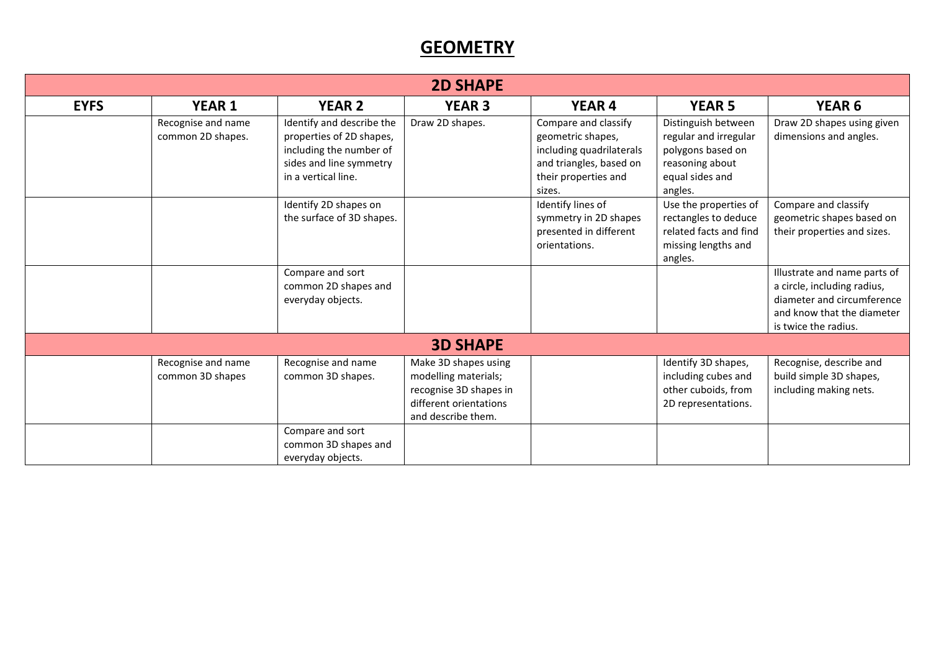## **GEOMETRY**

|             |                                         |                                                                                                                                    | <b>2D SHAPE</b>                                                                                                        |                                                                                                                                    |                                                                                                                    |                                                                                                                                                 |
|-------------|-----------------------------------------|------------------------------------------------------------------------------------------------------------------------------------|------------------------------------------------------------------------------------------------------------------------|------------------------------------------------------------------------------------------------------------------------------------|--------------------------------------------------------------------------------------------------------------------|-------------------------------------------------------------------------------------------------------------------------------------------------|
| <b>EYFS</b> | <b>YEAR 1</b>                           | <b>YEAR 2</b>                                                                                                                      | <b>YEAR 3</b>                                                                                                          | <b>YEAR 4</b>                                                                                                                      | <b>YEAR 5</b>                                                                                                      | <b>YEAR 6</b>                                                                                                                                   |
|             | Recognise and name<br>common 2D shapes. | Identify and describe the<br>properties of 2D shapes,<br>including the number of<br>sides and line symmetry<br>in a vertical line. | Draw 2D shapes.                                                                                                        | Compare and classify<br>geometric shapes,<br>including quadrilaterals<br>and triangles, based on<br>their properties and<br>sizes. | Distinguish between<br>regular and irregular<br>polygons based on<br>reasoning about<br>equal sides and<br>angles. | Draw 2D shapes using given<br>dimensions and angles.                                                                                            |
|             |                                         | Identify 2D shapes on<br>the surface of 3D shapes.                                                                                 |                                                                                                                        | Identify lines of<br>symmetry in 2D shapes<br>presented in different<br>orientations.                                              | Use the properties of<br>rectangles to deduce<br>related facts and find<br>missing lengths and<br>angles.          | Compare and classify<br>geometric shapes based on<br>their properties and sizes.                                                                |
|             |                                         | Compare and sort<br>common 2D shapes and<br>everyday objects.                                                                      |                                                                                                                        |                                                                                                                                    |                                                                                                                    | Illustrate and name parts of<br>a circle, including radius,<br>diameter and circumference<br>and know that the diameter<br>is twice the radius. |
|             |                                         |                                                                                                                                    | <b>3D SHAPE</b>                                                                                                        |                                                                                                                                    |                                                                                                                    |                                                                                                                                                 |
|             | Recognise and name<br>common 3D shapes  | Recognise and name<br>common 3D shapes.<br>Compare and sort                                                                        | Make 3D shapes using<br>modelling materials;<br>recognise 3D shapes in<br>different orientations<br>and describe them. |                                                                                                                                    | Identify 3D shapes,<br>including cubes and<br>other cuboids, from<br>2D representations.                           | Recognise, describe and<br>build simple 3D shapes,<br>including making nets.                                                                    |
|             |                                         | common 3D shapes and<br>everyday objects.                                                                                          |                                                                                                                        |                                                                                                                                    |                                                                                                                    |                                                                                                                                                 |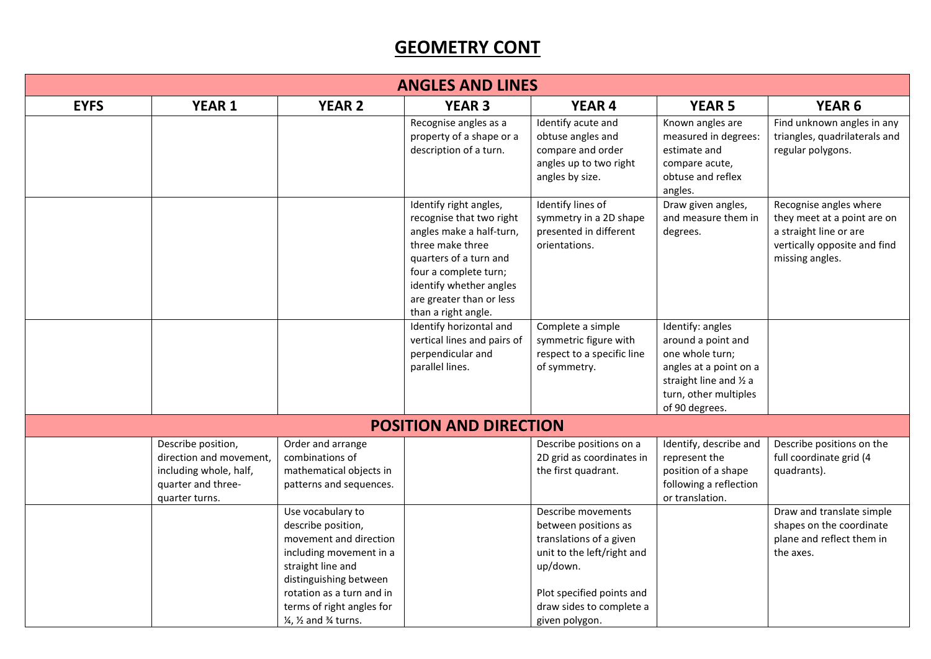## **GEOMETRY CONT**

| <b>ANGLES AND LINES</b> |                                                                                                                 |                                                                                                                                                                                                                                                                                   |                                                                                                                                                                                                                                     |                                                                                                                                                                                            |                                                                                                                                                           |                                                                                                                                    |  |
|-------------------------|-----------------------------------------------------------------------------------------------------------------|-----------------------------------------------------------------------------------------------------------------------------------------------------------------------------------------------------------------------------------------------------------------------------------|-------------------------------------------------------------------------------------------------------------------------------------------------------------------------------------------------------------------------------------|--------------------------------------------------------------------------------------------------------------------------------------------------------------------------------------------|-----------------------------------------------------------------------------------------------------------------------------------------------------------|------------------------------------------------------------------------------------------------------------------------------------|--|
| <b>EYFS</b>             | <b>YEAR 1</b>                                                                                                   | <b>YEAR 2</b>                                                                                                                                                                                                                                                                     | <b>YEAR 3</b>                                                                                                                                                                                                                       | <b>YEAR 4</b>                                                                                                                                                                              | <b>YEAR 5</b>                                                                                                                                             | <b>YEAR 6</b>                                                                                                                      |  |
|                         |                                                                                                                 |                                                                                                                                                                                                                                                                                   | Recognise angles as a<br>property of a shape or a<br>description of a turn.                                                                                                                                                         | Identify acute and<br>obtuse angles and<br>compare and order<br>angles up to two right<br>angles by size.                                                                                  | Known angles are<br>measured in degrees:<br>estimate and<br>compare acute,<br>obtuse and reflex<br>angles.                                                | Find unknown angles in any<br>triangles, quadrilaterals and<br>regular polygons.                                                   |  |
|                         |                                                                                                                 |                                                                                                                                                                                                                                                                                   | Identify right angles,<br>recognise that two right<br>angles make a half-turn,<br>three make three<br>quarters of a turn and<br>four a complete turn;<br>identify whether angles<br>are greater than or less<br>than a right angle. | Identify lines of<br>symmetry in a 2D shape<br>presented in different<br>orientations.                                                                                                     | Draw given angles,<br>and measure them in<br>degrees.                                                                                                     | Recognise angles where<br>they meet at a point are on<br>a straight line or are<br>vertically opposite and find<br>missing angles. |  |
|                         |                                                                                                                 |                                                                                                                                                                                                                                                                                   | Identify horizontal and<br>vertical lines and pairs of<br>perpendicular and<br>parallel lines.                                                                                                                                      | Complete a simple<br>symmetric figure with<br>respect to a specific line<br>of symmetry.                                                                                                   | Identify: angles<br>around a point and<br>one whole turn;<br>angles at a point on a<br>straight line and 1/2 a<br>turn, other multiples<br>of 90 degrees. |                                                                                                                                    |  |
|                         |                                                                                                                 |                                                                                                                                                                                                                                                                                   | <b>POSITION AND DIRECTION</b>                                                                                                                                                                                                       |                                                                                                                                                                                            |                                                                                                                                                           |                                                                                                                                    |  |
|                         | Describe position,<br>direction and movement.<br>including whole, half,<br>quarter and three-<br>quarter turns. | Order and arrange<br>combinations of<br>mathematical objects in<br>patterns and sequences.                                                                                                                                                                                        |                                                                                                                                                                                                                                     | Describe positions on a<br>2D grid as coordinates in<br>the first quadrant.                                                                                                                | Identify, describe and<br>represent the<br>position of a shape<br>following a reflection<br>or translation.                                               | Describe positions on the<br>full coordinate grid (4<br>quadrants).                                                                |  |
|                         |                                                                                                                 | Use vocabulary to<br>describe position,<br>movement and direction<br>including movement in a<br>straight line and<br>distinguishing between<br>rotation as a turn and in<br>terms of right angles for<br>1/ <sub>4</sub> , 1/ <sub>2</sub> and <sup>3</sup> / <sub>4</sub> turns. |                                                                                                                                                                                                                                     | Describe movements<br>between positions as<br>translations of a given<br>unit to the left/right and<br>up/down.<br>Plot specified points and<br>draw sides to complete a<br>given polygon. |                                                                                                                                                           | Draw and translate simple<br>shapes on the coordinate<br>plane and reflect them in<br>the axes.                                    |  |